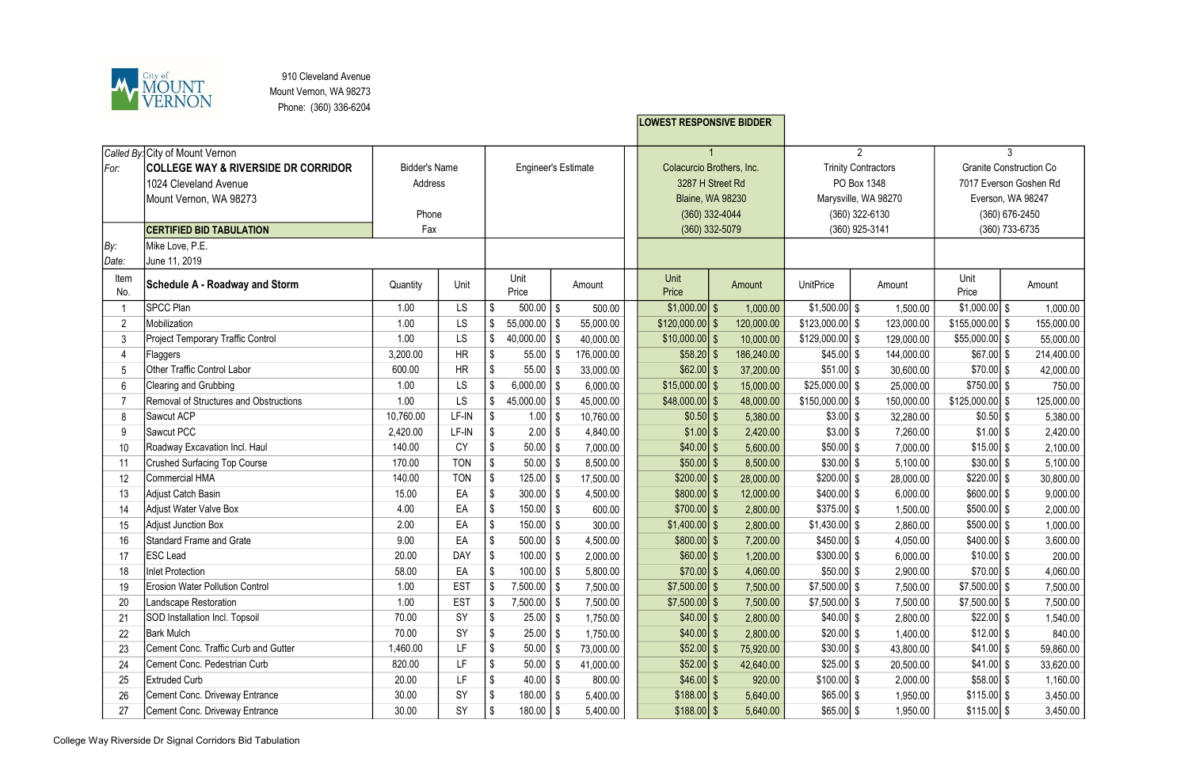

910 Cleveland Avenue Mount Vernon, WA 98273 Phone: (360) 336-6204

|                  |                                                |                      |            |                            |                        |        |            |  | <b>LOWEST RESPONSIVE BIDDER</b>               |  |            |                                           |  |            |                                |   |            |
|------------------|------------------------------------------------|----------------------|------------|----------------------------|------------------------|--------|------------|--|-----------------------------------------------|--|------------|-------------------------------------------|--|------------|--------------------------------|---|------------|
|                  |                                                |                      |            |                            |                        |        |            |  |                                               |  |            |                                           |  |            |                                |   |            |
|                  | Called By: City of Mount Vernon                |                      |            |                            |                        |        |            |  |                                               |  |            | $\overline{2}$                            |  |            |                                | 3 |            |
| For:             | <b>COLLEGE WAY &amp; RIVERSIDE DR CORRIDOR</b> | <b>Bidder's Name</b> |            | <b>Engineer's Estimate</b> |                        |        |            |  | Colacurcio Brothers, Inc.<br>3287 H Street Rd |  |            | <b>Trinity Contractors</b><br>PO Box 1348 |  |            | <b>Granite Construction Co</b> |   |            |
|                  | 1024 Cleveland Avenue                          | Address              |            |                            |                        |        |            |  |                                               |  |            |                                           |  |            | 7017 Everson Goshen Rd         |   |            |
|                  | Mount Vernon, WA 98273                         |                      |            |                            |                        |        |            |  | <b>Blaine, WA 98230</b>                       |  |            | Marysville, WA 98270                      |  |            | Everson, WA 98247              |   |            |
|                  |                                                | Phone                |            |                            |                        |        |            |  | $(360)$ 332-4044                              |  |            | $(360)$ 322-6130                          |  |            | (360) 676-2450                 |   |            |
|                  | <b>CERTIFIED BID TABULATION</b>                | Fax                  |            |                            |                        |        |            |  | $(360)$ 332-5079                              |  |            | (360) 925-3141                            |  |            | (360) 733-6735                 |   |            |
| By:              | Mike Love, P.E.                                |                      |            |                            |                        |        |            |  |                                               |  |            |                                           |  |            |                                |   |            |
| Date:            | June 11, 2019                                  |                      |            |                            |                        |        |            |  |                                               |  |            |                                           |  |            |                                |   |            |
| Item<br>No.      | Schedule A - Roadway and Storm                 | Quantity             | Unit       |                            | Unit<br>Price          | Amount |            |  | Unit<br>Price                                 |  | Amount     | <b>UnitPrice</b>                          |  | Amount     | Unit<br>Price                  |   | Amount     |
|                  | <b>SPCC Plan</b>                               | 1.00                 | <b>LS</b>  |                            | 500.00                 | \$     | 500.00     |  | $$1,000.00$ \$                                |  | 1,000.00   | $$1,500.00$ \ \$                          |  | 1,500.00   | $$1,000.00$ \$                 |   | 1,000.00   |
| $\overline{2}$   | Mobilization                                   | 1.00                 | LS         |                            | 55,000.00              | - \$   | 55,000.00  |  | $$120,000.00$ \ \$                            |  | 120,000.00 | $$123,000.00$ \ \$                        |  | 123,000.00 | $$155,000.00$ \ \$             |   | 155,000.00 |
| 3                | Project Temporary Traffic Control              | 1.00                 | LS         |                            | $40,000.00$   \$       |        | 40,000.00  |  | $$10,000.00$ \$                               |  | 10,000.00  | $$129,000.00$ \ \$                        |  | 129,000.00 | $$55,000.00$ \$                |   | 55,000.00  |
|                  | Flaggers                                       | 3,200.00             | <b>HR</b>  |                            | $55.00$   \$           |        | 176,000.00 |  | $$58.20$ \$                                   |  | 186,240.00 | $$45.00$ \ \$                             |  | 144,000.00 | $$67.00$ \ \$                  |   | 214,400.00 |
|                  | <b>Other Traffic Control Labor</b>             | 600.00               | <b>HR</b>  |                            | 55.00                  |        | 33,000.00  |  | $$62.00$ \ \$                                 |  | 37,200.00  | $$51.00$ \ \$                             |  | 30,600.00  | $$70.00$ \ \$                  |   | 42,000.00  |
| $6\phantom{1}6$  | Clearing and Grubbing                          | 1.00                 | LS         |                            | $6,000.00$   \$        |        | 6,000.00   |  | $$15,000.00$ \$                               |  | 15,000.00  | $$25,000.00$ \$                           |  | 25,000.00  | $$750.00$ \ \$                 |   | 750.00     |
|                  | Removal of Structures and Obstructions         | 1.00                 | LS         |                            | $45,000.00$   \$       |        | 45,000.00  |  | $$48,000.00$ \ \$                             |  | 48,000.00  | $$150,000.00$ \ \$                        |  | 150,000.00 | $$125,000.00$ \ \$             |   | 125,000.00 |
| 8                | Sawcut ACP                                     | 10,760.00            | LF-IN      |                            | 1.00                   | - \$   | 10,760.00  |  | $$0.50$ \$                                    |  | 5,380.00   | $$3.00$ \ \$                              |  | 32,280.00  | $$0.50$ \ \$                   |   | 5,380.00   |
| 9                | Sawcut PCC                                     | 2,420.00             | LF-IN      | S                          | $2.00$   \$            |        | 4,840.00   |  | $$1.00$ \ \$                                  |  | 2,420.00   | $$3.00$ \ \$                              |  | 7,260.00   | $$1.00$ \ \$                   |   | 2,420.00   |
| 10               | Roadway Excavation Incl. Haul                  | 140.00               | <b>CY</b>  |                            | $50.00$   \$           |        | 7,000.00   |  | $$40.00$ \ \$                                 |  | 5,600.00   | $$50.00$ \ \$                             |  | 7,000.00   | $$15.00$ \ \$                  |   | 2,100.00   |
| 11               | <b>Crushed Surfacing Top Course</b>            | 170.00               | <b>TON</b> |                            | 50.00                  |        | 8,500.00   |  | $$50.00$ \$                                   |  | 8,500.00   | $$30.00$ \ \$                             |  | 5,100.00   | $$30.00$ \ \$                  |   | 5,100.00   |
| 12               | Commercial HMA                                 | 140.00               | <b>TON</b> |                            | $125.00$   \$          |        | 17,500.00  |  | $$200.00$ \$                                  |  | 28,000.00  | $$200.00$ \ \$                            |  | 28,000.00  | $$220.00$ \ \$                 |   | 30,800.00  |
| 13               | Adjust Catch Basin                             | 15.00                | EA         |                            | $300.00$   \$          |        | 4,500.00   |  | $$800.00$ \$                                  |  | 12,000.00  | $$400.00$ \ \$                            |  | 6,000.00   | $$600.00$ \ \$                 |   | 9,000.00   |
| 14               | Adjust Water Valve Box                         | 4.00                 | EA         |                            | 150.00                 | -\$    | 600.00     |  | $$700.00$ \$                                  |  | 2,800.00   | $$375.00$ \\$                             |  | 1,500.00   | $$500.00$ \$                   |   | 2,000.00   |
| 15 <sup>15</sup> | Adjust Junction Box                            | 2.00                 | EA         |                            | $150.00$   \$          |        | 300.00     |  | $$1,400.00$ \ \$                              |  | 2,800.00   | $$1,430.00$ \ \$                          |  | 2,860.00   | $$500.00$ \ \$                 |   | 1,000.00   |
| 16               | <b>Standard Frame and Grate</b>                | 9.00                 | EA         |                            | $500.00$   \$          |        | 4,500.00   |  | $$800.00$ \$                                  |  | 7,200.00   | $$450.00$ \$                              |  | 4,050.00   | $$400.00$ \ \$                 |   | 3,600.00   |
| 17               | <b>ESC</b> Lead                                | 20.00                | DAY        | -\$                        | $100.00$   \$          |        | 2,000.00   |  | $$60.00$ \$                                   |  | 1,200.00   | $$300.00$ \$                              |  | 6,000.00   | $$10.00$ \ \$                  |   | 200.00     |
| 18               | <b>Inlet Protection</b>                        | 58.00                | EA         |                            | $100.00$   \$          |        | 5,800.00   |  | $$70.00$ \$                                   |  | 4,060.00   | $$50.00$ \ \$                             |  | 2,900.00   | $$70.00$ \ \$                  |   | 4,060.00   |
| 19               | <b>Erosion Water Pollution Control</b>         | 1.00                 | <b>EST</b> |                            | $7,500.00$   \$        |        | 7,500.00   |  | $$7,500.00$ \ \$                              |  | 7,500.00   | $$7,500.00$ \ \$                          |  | 7,500.00   | $$7,500.00$ \ \$               |   | 7,500.00   |
| 20               | Landscape Restoration                          | 1.00                 | <b>EST</b> |                            | $7,500.00$   \$        |        | 7,500.00   |  | $$7,500.00$ \ \$                              |  | 7,500.00   | $$7,500.00$ \ \$                          |  | 7,500.00   | $$7,500.00$ \ \$               |   | 7,500.00   |
| 21               | SOD Installation Incl. Topsoil                 | 70.00                | SY         |                            | $25.00$   \$           |        | 1,750.00   |  | $$40.00$ \ \$                                 |  | 2,800.00   | $$40.00$ \ \$                             |  | 2,800.00   | $$22.00$ \ \$                  |   | 1,540.00   |
| 22               | <b>Bark Mulch</b>                              | 70.00                | SY         |                            | $25.00$   \$           |        | 1,750.00   |  | $$40.00$ \$                                   |  | 2,800.00   | $$20.00$ \ \$                             |  | 1,400.00   | $$12.00$ \ \$                  |   | 840.00     |
| 23               | Cement Conc. Traffic Curb and Gutter           | 1,460.00             | LF         |                            | $50.00$   \$           |        | 73,000.00  |  | $$52.00$ \ \$                                 |  | 75,920.00  | $$30.00$ \ \$                             |  | 43,800.00  | $$41.00$ \ \$                  |   | 59,860.00  |
| 24               | Cement Conc. Pedestrian Curb                   | 820.00               | LF.        |                            | $50.00$   \$           |        | 41,000.00  |  | $$52.00$ \ \$                                 |  | 42,640.00  | $$25.00$ \ \$                             |  | 20,500.00  | $$41.00$ \ \$                  |   | 33,620.00  |
| 25               | <b>Extruded Curb</b>                           | 20.00                | LF         |                            | $40.00$   \$           |        | 800.00     |  | $$46.00$ \ \$                                 |  | 920.00     | $$100.00$ \ \$                            |  | 2,000.00   | $$58.00$ \ \$                  |   | 1,160.00   |
| 26               | Cement Conc. Driveway Entrance                 | 30.00                | SY         |                            | $180.00$   \$          |        | 5,400.00   |  | $$188.00$ \$                                  |  | 5,640.00   | $$65.00$ \ \$                             |  | 1,950.00   | $$115.00$ \ \$                 |   | 3,450.00   |
| 27               | Cement Conc. Driveway Entrance                 | 30.00                | SY         | \$                         | $180.00$ $\frac{1}{5}$ |        | 5,400.00   |  | $$188.00$ \$                                  |  | 5,640.00   | $$65.00$ \$                               |  | 1,950.00   | $$115.00$ \ \$                 |   | 3,450.00   |